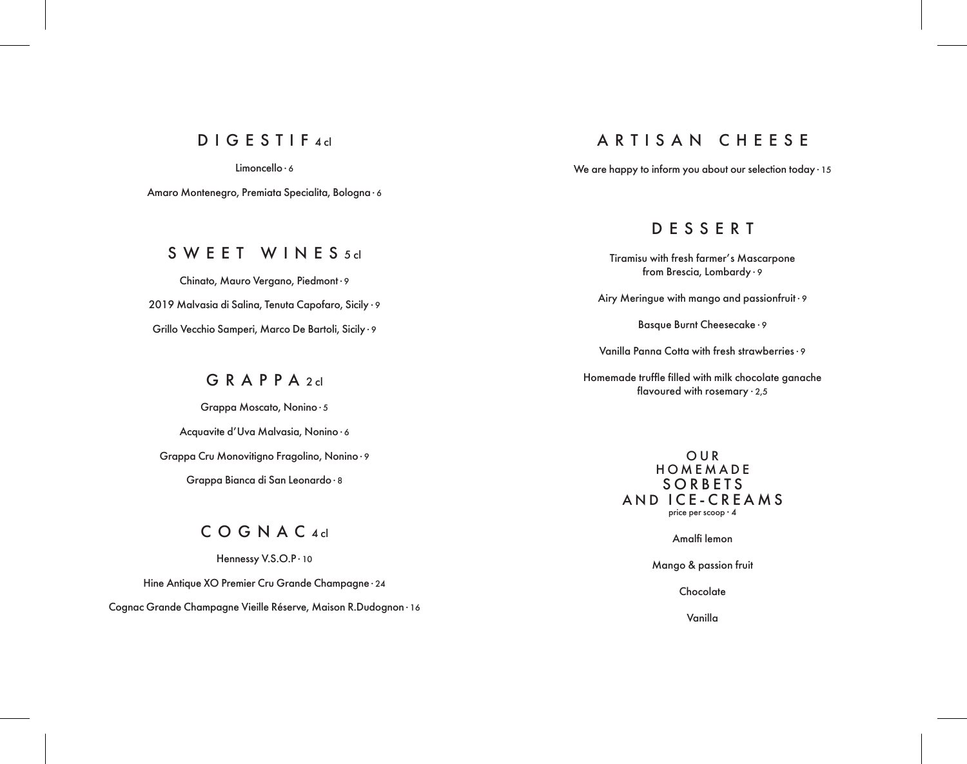# DIGESTIF 4 cl

Limoncello ∙ 6

Amaro Montenegro, Premiata Specialita, Bologna ∙ 6

#### SWEET WINES<sub>5dl</sub>

Chinato, Mauro Vergano, Piedmont ∙ 9 2019 Malvasia di Salina, Tenuta Capofaro, Sicily ∙ 9 Grillo Vecchio Samperi, Marco De Bartoli, Sicily ∙ 9

# $G$   $R$   $A$   $P$   $P$   $A$   $2$   $d$

Grappa Moscato, Nonino ∙ 5 Acquavite d'Uva Malvasia, Nonino ∙ 6 Grappa Cru Monovitigno Fragolino, Nonino ∙ 9 Grappa Bianca di San Leonardo ∙ 8

# COGNAC<sub>4d</sub>

Hennessy V.S.O.P ∙ 10

Hine Antique XO Premier Cru Grande Champagne ∙ 24

Cognac Grande Champagne Vieille Réserve, Maison R.Dudognon ∙ 16

# ARTISAN CHEESE

We are happy to inform you about our selection today ∙ 15

# DESSERT

Tiramisu with fresh farmer's Mascarpone from Brescia, Lombardy ∙ 9

Airy Meringue with mango and passionfruit ∙ 9

Basque Burnt Cheesecake ∙ 9

Vanilla Panna Cotta with fresh strawberries∙ 9

Homemade truffle filled with milk chocolate ganache flavoured with rosemary ∙ 2,5

> OUR HOMEMADE SORBETS AND ICE-CREAMS price per scoop ∙ 4

> > Amalfi lemon

Mango & passion fruit

**Chocolate** 

Vanilla